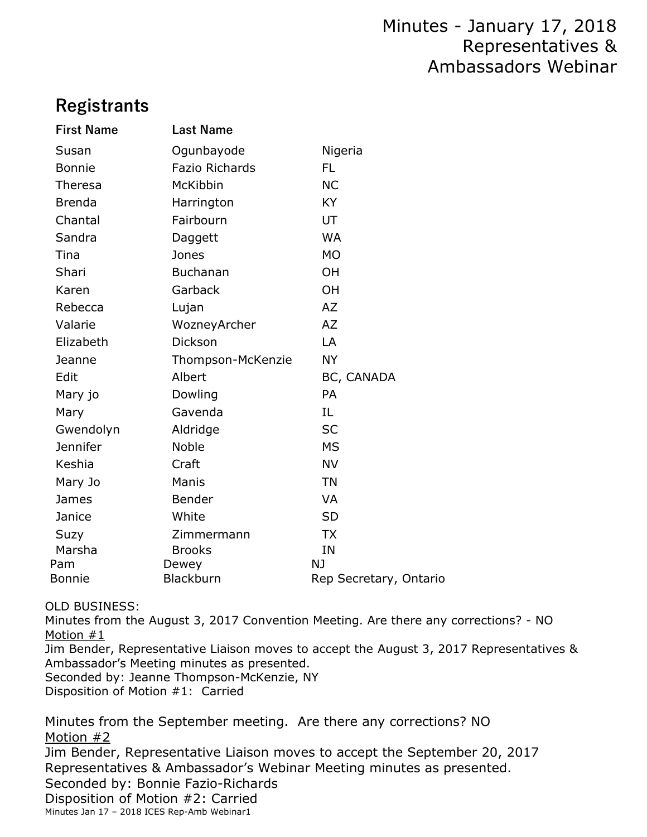# **Registrants**

| <b>First Name</b> | <b>Last Name</b>      |                              |
|-------------------|-----------------------|------------------------------|
| Susan             | Ogunbayode            | Nigeria                      |
| <b>Bonnie</b>     | <b>Fazio Richards</b> | <b>FL</b>                    |
| Theresa           | McKibbin              | <b>NC</b>                    |
| <b>Brenda</b>     | Harrington            | KY                           |
| Chantal           | Fairbourn             | UT                           |
| Sandra            | Daggett               | <b>WA</b>                    |
| Tina              | Jones                 | <b>MO</b>                    |
| Shari             | <b>Buchanan</b>       | OH                           |
| Karen             | Garback               | OH                           |
| Rebecca           | Lujan                 | AZ                           |
| Valarie           | WozneyArcher          | <b>AZ</b>                    |
| Elizabeth         | <b>Dickson</b>        | LA                           |
| Jeanne            | Thompson-McKenzie     | <b>NY</b>                    |
| Edit              | Albert                | BC, CANADA                   |
| Mary jo           | Dowling               | PA                           |
| Mary              | Gavenda               | IL.                          |
| Gwendolyn         | Aldridge              | <b>SC</b>                    |
| <b>Jennifer</b>   | Noble                 | <b>MS</b>                    |
| Keshia            | Craft                 | <b>NV</b>                    |
| Mary Jo           | Manis                 | <b>TN</b>                    |
| James             | Bender                | <b>VA</b>                    |
| Janice            | White                 | <b>SD</b>                    |
| Suzy              | Zimmermann            | <b>TX</b>                    |
| Marsha            | <b>Brooks</b>         | IN                           |
| Pam<br>Bonnie     | Dewey<br>Blackburn    | NJ<br>Rep Secretary, Ontario |
|                   |                       |                              |

OLD BUSINESS:

Minutes from the August 3, 2017 Convention Meeting. Are there any corrections? - NO Motion #1

Jim Bender, Representative Liaison moves to accept the August 3, 2017 Representatives & Ambassador's Meeting minutes as presented.

Seconded by: Jeanne Thompson-McKenzie, NY

Disposition of Motion #1: Carried

Minutes from the September meeting. Are there any corrections? NO Motion #2

Jim Bender, Representative Liaison moves to accept the September 20, 2017 Representatives & Ambassador's Webinar Meeting minutes as presented.

Seconded by: Bonnie Fazio-Richards

Disposition of Motion #2: Carried

Minutes Jan 17 – 2018 ICES Rep-Amb Webinar1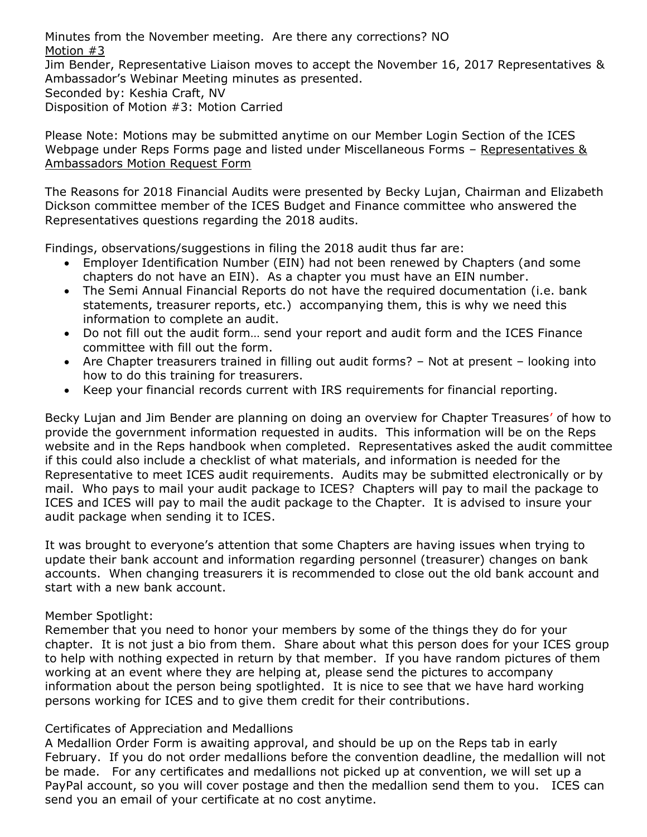Minutes from the November meeting. Are there any corrections? NO Motion #3

Jim Bender, Representative Liaison moves to accept the November 16, 2017 Representatives & Ambassador's Webinar Meeting minutes as presented.

Seconded by: Keshia Craft, NV

Disposition of Motion #3: Motion Carried

Please Note: Motions may be submitted anytime on our Member Login Section of the ICES Webpage under Reps Forms page and listed under Miscellaneous Forms – [Representatives](https://secure.ices.org/reps/reps-forms/representatives-ambassadors-motion-request/) & [Ambassadors](https://secure.ices.org/reps/reps-forms/representatives-ambassadors-motion-request/) Motion Request Form

The Reasons for 2018 Financial Audits were presented by Becky Lujan, Chairman and Elizabeth Dickson committee member of the ICES Budget and Finance committee who answered the Representatives questions regarding the 2018 audits.

Findings, observations/suggestions in filing the 2018 audit thus far are:

- Employer Identification Number (EIN) had not been renewed by Chapters (and some chapters do not have an EIN). As a chapter you must have an EIN number.
- The Semi Annual Financial Reports do not have the required documentation (i.e. bank statements, treasurer reports, etc.) accompanying them, this is why we need this information to complete an audit.
- Do not fill out the audit form… send your report and audit form and the ICES Finance committee with fill out the form.
- Are Chapter treasurers trained in filling out audit forms? Not at present looking into how to do this training for treasurers.
- Keep your financial records current with IRS requirements for financial reporting.

Becky Lujan and Jim Bender are planning on doing an overview for Chapter Treasures' of how to provide the government information requested in audits. This information will be on the Reps website and in the Reps handbook when completed. Representatives asked the audit committee if this could also include a checklist of what materials, and information is needed for the Representative to meet ICES audit requirements. Audits may be submitted electronically or by mail. Who pays to mail your audit package to ICES? Chapters will pay to mail the package to ICES and ICES will pay to mail the audit package to the Chapter. It is advised to insure your audit package when sending it to ICES.

It was brought to everyone's attention that some Chapters are having issues when trying to update their bank account and information regarding personnel (treasurer) changes on bank accounts. When changing treasurers it is recommended to close out the old bank account and start with a new bank account.

# Member Spotlight:

Remember that you need to honor your members by some of the things they do for your chapter. It is not just a bio from them. Share about what this person does for your ICES group to help with nothing expected in return by that member. If you have random pictures of them working at an event where they are helping at, please send the pictures to accompany information about the person being spotlighted. It is nice to see that we have hard working persons working for ICES and to give them credit for their contributions.

# Certificates of Appreciation and Medallions

A Medallion Order Form is awaiting approval, and should be up on the Reps tab in early February. If you do not order medallions before the convention deadline, the medallion will not be made. For any certificates and medallions not picked up at convention, we will set up a PayPal account, so you will cover postage and then the medallion send them to you. ICES can send you an email of your certificate at no cost anytime.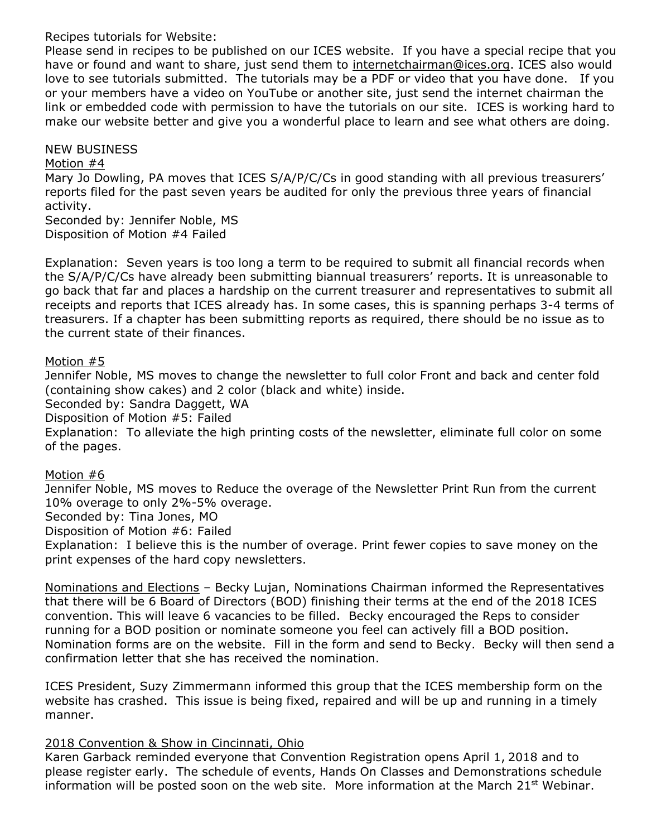Recipes tutorials for Website:

Please send in recipes to be published on our ICES website. If you have a special recipe that you have or found and want to share, just send them to [internetchairman@ices.org.](mailto:internetchairman@ices.org) ICES also would love to see tutorials submitted. The tutorials may be a PDF or video that you have done. If you or your members have a video on YouTube or another site, just send the internet chairman the link or embedded code with permission to have the tutorials on our site. ICES is working hard to make our website better and give you a wonderful place to learn and see what others are doing.

## NEW BUSINESS

#### Motion #4

Mary Jo Dowling, PA moves that ICES S/A/P/C/Cs in good standing with all previous treasurers' reports filed for the past seven years be audited for only the previous three years of financial activity.

Seconded by: Jennifer Noble, MS Disposition of Motion #4 Failed

Explanation: Seven years is too long a term to be required to submit all financial records when the S/A/P/C/Cs have already been submitting biannual treasurers' reports. It is unreasonable to go back that far and places a hardship on the current treasurer and representatives to submit all receipts and reports that ICES already has. In some cases, this is spanning perhaps 3-4 terms of treasurers. If a chapter has been submitting reports as required, there should be no issue as to the current state of their finances.

#### Motion #5

Jennifer Noble, MS moves to change the newsletter to full color Front and back and center fold (containing show cakes) and 2 color (black and white) inside. Seconded by: Sandra Daggett, WA Disposition of Motion #5: Failed Explanation: To alleviate the high printing costs of the newsletter, eliminate full color on some of the pages.

#### Motion #6

Jennifer Noble, MS moves to Reduce the overage of the Newsletter Print Run from the current 10% overage to only 2%-5% overage.

Seconded by: Tina Jones, MO

Disposition of Motion #6: Failed

Explanation: I believe this is the number of overage. Print fewer copies to save money on the print expenses of the hard copy newsletters.

Nominations and Elections – Becky Lujan, Nominations Chairman informed the Representatives that there will be 6 Board of Directors (BOD) finishing their terms at the end of the 2018 ICES convention. This will leave 6 vacancies to be filled. Becky encouraged the Reps to consider running for a BOD position or nominate someone you feel can actively fill a BOD position. Nomination forms are on the website. Fill in the form and send to Becky. Becky will then send a confirmation letter that she has received the nomination.

ICES President, Suzy Zimmermann informed this group that the ICES membership form on the website has crashed. This issue is being fixed, repaired and will be up and running in a timely manner.

#### 2018 Convention & Show in Cincinnati, Ohio

Karen Garback reminded everyone that Convention Registration opens April 1, 2018 and to please register early. The schedule of events, Hands On Classes and Demonstrations schedule information will be posted soon on the web site. More information at the March 21 $\mathrm{st}$  Webinar.